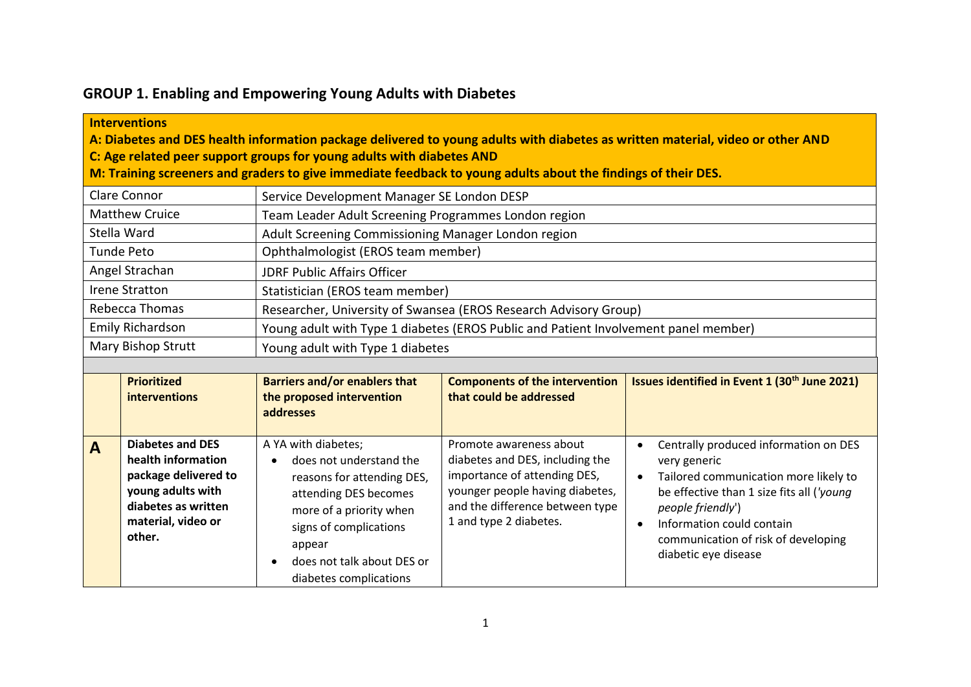## **GROUP 1. Enabling and Empowering Young Adults with Diabetes**

## **Interventions**

**A: Diabetes and DES health information package delivered to young adults with diabetes as written material, video or other AND**

**C: Age related peer support groups for young adults with diabetes AND** 

**M: Training screeners and graders to give immediate feedback to young adults about the findings of their DES.**

| Clare Connor          | Service Development Manager SE London DESP                                          |  |  |
|-----------------------|-------------------------------------------------------------------------------------|--|--|
| <b>Matthew Cruice</b> | Team Leader Adult Screening Programmes London region                                |  |  |
| Stella Ward           | Adult Screening Commissioning Manager London region                                 |  |  |
| Tunde Peto            | Ophthalmologist (EROS team member)                                                  |  |  |
| Angel Strachan        | JDRF Public Affairs Officer                                                         |  |  |
| <b>Irene Stratton</b> | Statistician (EROS team member)                                                     |  |  |
| Rebecca Thomas        | Researcher, University of Swansea (EROS Research Advisory Group)                    |  |  |
| Emily Richardson      | Young adult with Type 1 diabetes (EROS Public and Patient Involvement panel member) |  |  |
| Mary Bishop Strutt    | Young adult with Type 1 diabetes                                                    |  |  |

|              | <b>Prioritized</b><br>interventions                                                                                                               | <b>Barriers and/or enablers that</b><br>the proposed intervention<br>addresses                                                                                                                                               | <b>Components of the intervention</b><br>that could be addressed                                                                                                                           | Issues identified in Event 1 (30 <sup>th</sup> June 2021)                                                                                                                                                                                                                 |
|--------------|---------------------------------------------------------------------------------------------------------------------------------------------------|------------------------------------------------------------------------------------------------------------------------------------------------------------------------------------------------------------------------------|--------------------------------------------------------------------------------------------------------------------------------------------------------------------------------------------|---------------------------------------------------------------------------------------------------------------------------------------------------------------------------------------------------------------------------------------------------------------------------|
| $\mathbf{A}$ | <b>Diabetes and DES</b><br>health information<br>package delivered to<br>young adults with<br>diabetes as written<br>material, video or<br>other. | A YA with diabetes;<br>does not understand the<br>reasons for attending DES,<br>attending DES becomes<br>more of a priority when<br>signs of complications<br>appear<br>does not talk about DES or<br>diabetes complications | Promote awareness about<br>diabetes and DES, including the<br>importance of attending DES,<br>younger people having diabetes,<br>and the difference between type<br>1 and type 2 diabetes. | Centrally produced information on DES<br>very generic<br>Tailored communication more likely to<br>$\bullet$<br>be effective than 1 size fits all ('young<br>people friendly')<br>Information could contain<br>communication of risk of developing<br>diabetic eye disease |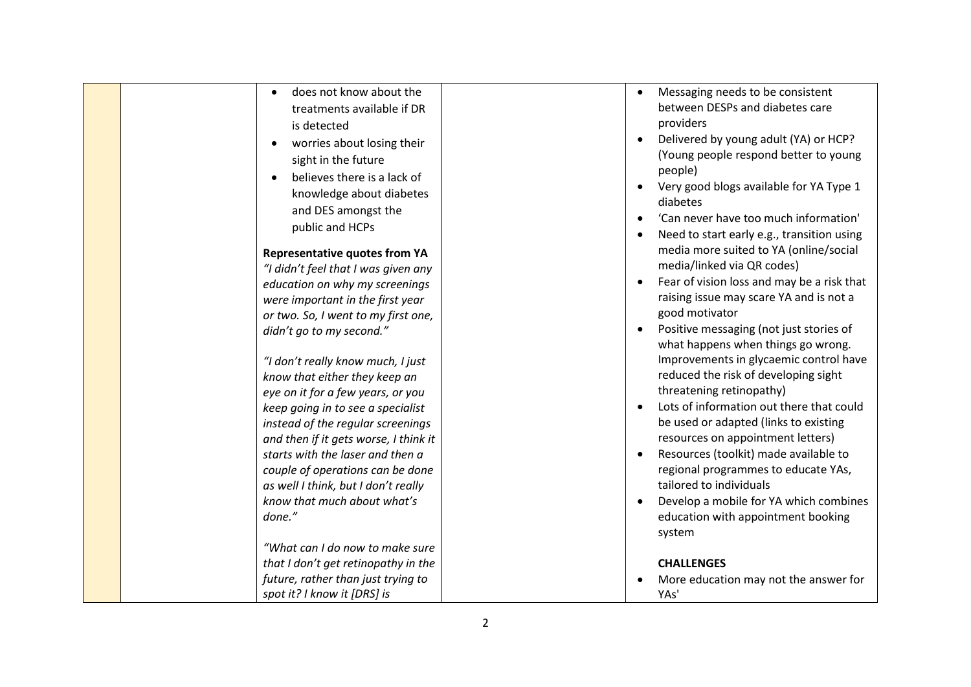| does not know about the<br>treatments available if DR<br>is detected<br>worries about losing their<br>sight in the future<br>believes there is a lack of<br>knowledge about diabetes<br>and DES amongst the<br>public and HCPs<br><b>Representative quotes from YA</b><br>"I didn't feel that I was given any<br>education on why my screenings<br>were important in the first year<br>or two. So, I went to my first one,<br>didn't go to my second."<br>"I don't really know much, I just<br>know that either they keep an<br>eye on it for a few years, or you<br>keep going in to see a specialist<br>instead of the regular screenings<br>and then if it gets worse, I think it<br>starts with the laser and then a<br>couple of operations can be done<br>as well I think, but I don't really<br>know that much about what's | Messaging needs to be consistent<br>$\bullet$<br>between DESPs and diabetes care<br>providers<br>Delivered by young adult (YA) or HCP?<br>$\bullet$<br>(Young people respond better to young<br>people)<br>Very good blogs available for YA Type 1<br>$\bullet$<br>diabetes<br>'Can never have too much information'<br>Need to start early e.g., transition using<br>$\bullet$<br>media more suited to YA (online/social<br>media/linked via QR codes)<br>Fear of vision loss and may be a risk that<br>$\bullet$<br>raising issue may scare YA and is not a<br>good motivator<br>Positive messaging (not just stories of<br>$\bullet$<br>what happens when things go wrong.<br>Improvements in glycaemic control have<br>reduced the risk of developing sight<br>threatening retinopathy)<br>Lots of information out there that could<br>be used or adapted (links to existing<br>resources on appointment letters)<br>Resources (toolkit) made available to<br>$\bullet$<br>regional programmes to educate YAs,<br>tailored to individuals<br>Develop a mobile for YA which combines |
|------------------------------------------------------------------------------------------------------------------------------------------------------------------------------------------------------------------------------------------------------------------------------------------------------------------------------------------------------------------------------------------------------------------------------------------------------------------------------------------------------------------------------------------------------------------------------------------------------------------------------------------------------------------------------------------------------------------------------------------------------------------------------------------------------------------------------------|-----------------------------------------------------------------------------------------------------------------------------------------------------------------------------------------------------------------------------------------------------------------------------------------------------------------------------------------------------------------------------------------------------------------------------------------------------------------------------------------------------------------------------------------------------------------------------------------------------------------------------------------------------------------------------------------------------------------------------------------------------------------------------------------------------------------------------------------------------------------------------------------------------------------------------------------------------------------------------------------------------------------------------------------------------------------------------------------|
| done."                                                                                                                                                                                                                                                                                                                                                                                                                                                                                                                                                                                                                                                                                                                                                                                                                             | education with appointment booking<br>system                                                                                                                                                                                                                                                                                                                                                                                                                                                                                                                                                                                                                                                                                                                                                                                                                                                                                                                                                                                                                                            |
| "What can I do now to make sure<br>that I don't get retinopathy in the                                                                                                                                                                                                                                                                                                                                                                                                                                                                                                                                                                                                                                                                                                                                                             | <b>CHALLENGES</b>                                                                                                                                                                                                                                                                                                                                                                                                                                                                                                                                                                                                                                                                                                                                                                                                                                                                                                                                                                                                                                                                       |
| future, rather than just trying to<br>spot it? I know it [DRS] is                                                                                                                                                                                                                                                                                                                                                                                                                                                                                                                                                                                                                                                                                                                                                                  | More education may not the answer for<br>YAs'                                                                                                                                                                                                                                                                                                                                                                                                                                                                                                                                                                                                                                                                                                                                                                                                                                                                                                                                                                                                                                           |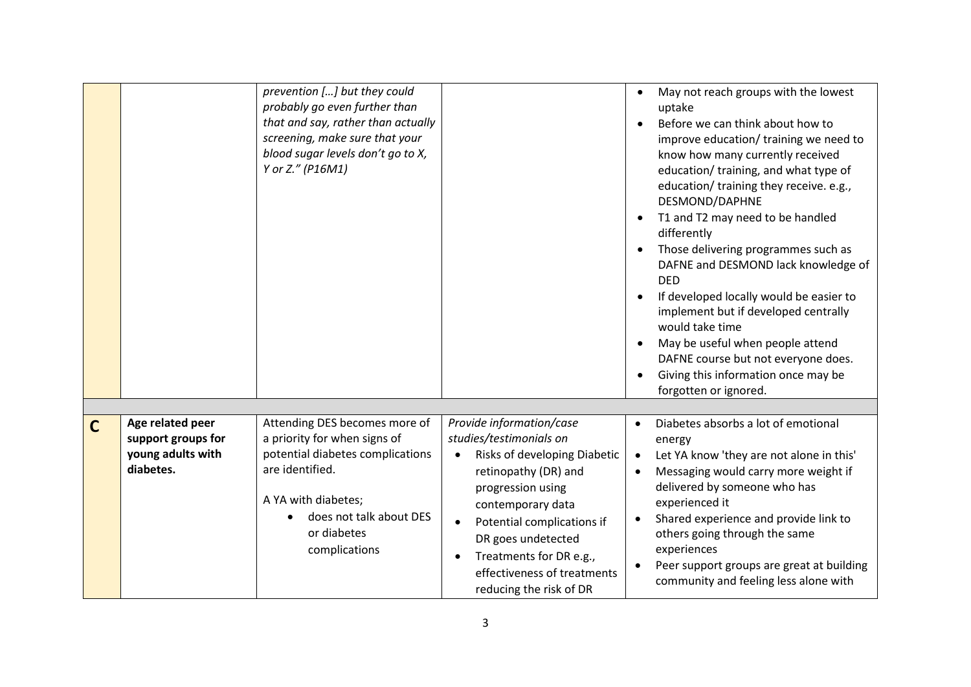|              |                                                                          | prevention [] but they could<br>probably go even further than<br>that and say, rather than actually<br>screening, make sure that your<br>blood sugar levels don't go to X,<br>Y or Z." (P16M1)         |                                                                                                                                                                                                                                                                                                             | May not reach groups with the lowest<br>uptake<br>Before we can think about how to<br>improve education/ training we need to<br>know how many currently received<br>education/ training, and what type of<br>education/ training they receive. e.g.,<br>DESMOND/DAPHNE<br>T1 and T2 may need to be handled<br>differently<br>Those delivering programmes such as<br>DAFNE and DESMOND lack knowledge of<br><b>DED</b><br>If developed locally would be easier to<br>implement but if developed centrally<br>would take time<br>May be useful when people attend<br>DAFNE course but not everyone does.<br>Giving this information once may be<br>$\bullet$<br>forgotten or ignored. |
|--------------|--------------------------------------------------------------------------|--------------------------------------------------------------------------------------------------------------------------------------------------------------------------------------------------------|-------------------------------------------------------------------------------------------------------------------------------------------------------------------------------------------------------------------------------------------------------------------------------------------------------------|-------------------------------------------------------------------------------------------------------------------------------------------------------------------------------------------------------------------------------------------------------------------------------------------------------------------------------------------------------------------------------------------------------------------------------------------------------------------------------------------------------------------------------------------------------------------------------------------------------------------------------------------------------------------------------------|
| $\mathsf{C}$ | Age related peer<br>support groups for<br>young adults with<br>diabetes. | Attending DES becomes more of<br>a priority for when signs of<br>potential diabetes complications<br>are identified.<br>A YA with diabetes;<br>does not talk about DES<br>or diabetes<br>complications | Provide information/case<br>studies/testimonials on<br>Risks of developing Diabetic<br>retinopathy (DR) and<br>progression using<br>contemporary data<br>Potential complications if<br>$\bullet$<br>DR goes undetected<br>Treatments for DR e.g.,<br>effectiveness of treatments<br>reducing the risk of DR | Diabetes absorbs a lot of emotional<br>$\bullet$<br>energy<br>Let YA know 'they are not alone in this'<br>$\bullet$<br>Messaging would carry more weight if<br>$\bullet$<br>delivered by someone who has<br>experienced it<br>Shared experience and provide link to<br>others going through the same<br>experiences<br>Peer support groups are great at building<br>community and feeling less alone with                                                                                                                                                                                                                                                                           |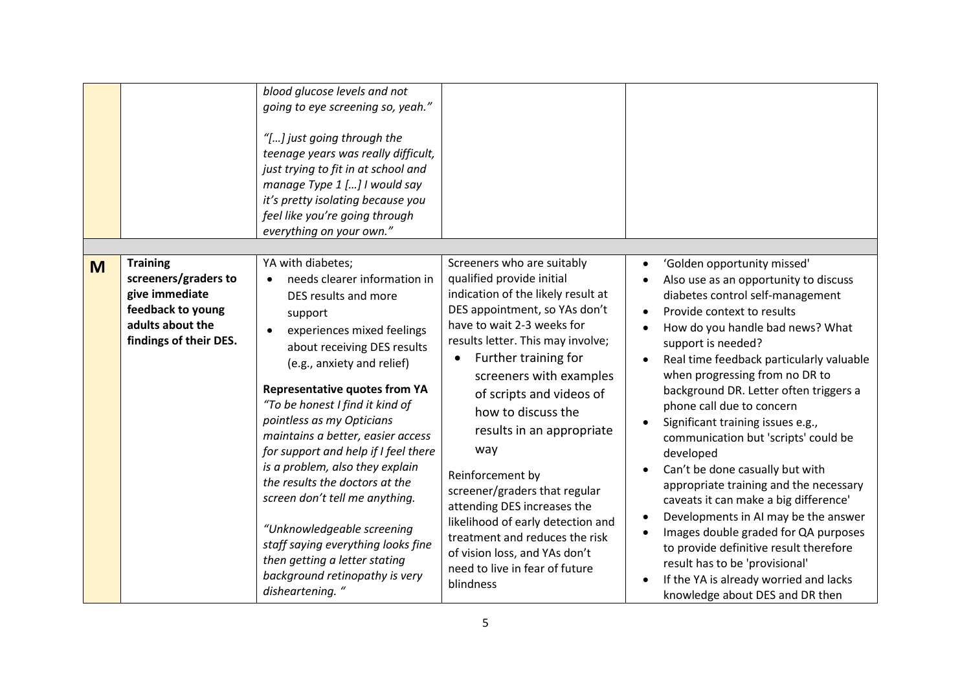|   |                                                                                                                              | blood glucose levels and not<br>going to eye screening so, yeah."<br>"[] just going through the<br>teenage years was really difficult,<br>just trying to fit in at school and<br>manage Type 1 [] I would say<br>it's pretty isolating because you<br>feel like you're going through<br>everything on your own."                                                                                                                                                                                                                                                                                                                                    |                                                                                                                                                                                                                                                                                                                                                                                                                                                                                                                                                                                                    |                                                                                                                                                                                                                                                                                                                                                                                                                                                                                                                                                                                                                                                                                                                                                                                                                |
|---|------------------------------------------------------------------------------------------------------------------------------|-----------------------------------------------------------------------------------------------------------------------------------------------------------------------------------------------------------------------------------------------------------------------------------------------------------------------------------------------------------------------------------------------------------------------------------------------------------------------------------------------------------------------------------------------------------------------------------------------------------------------------------------------------|----------------------------------------------------------------------------------------------------------------------------------------------------------------------------------------------------------------------------------------------------------------------------------------------------------------------------------------------------------------------------------------------------------------------------------------------------------------------------------------------------------------------------------------------------------------------------------------------------|----------------------------------------------------------------------------------------------------------------------------------------------------------------------------------------------------------------------------------------------------------------------------------------------------------------------------------------------------------------------------------------------------------------------------------------------------------------------------------------------------------------------------------------------------------------------------------------------------------------------------------------------------------------------------------------------------------------------------------------------------------------------------------------------------------------|
| M | <b>Training</b><br>screeners/graders to<br>give immediate<br>feedback to young<br>adults about the<br>findings of their DES. | YA with diabetes;<br>needs clearer information in<br>DES results and more<br>support<br>experiences mixed feelings<br>$\bullet$<br>about receiving DES results<br>(e.g., anxiety and relief)<br><b>Representative quotes from YA</b><br>"To be honest I find it kind of<br>pointless as my Opticians<br>maintains a better, easier access<br>for support and help if I feel there<br>is a problem, also they explain<br>the results the doctors at the<br>screen don't tell me anything.<br>"Unknowledgeable screening<br>staff saying everything looks fine<br>then getting a letter stating<br>background retinopathy is very<br>disheartening. " | Screeners who are suitably<br>qualified provide initial<br>indication of the likely result at<br>DES appointment, so YAs don't<br>have to wait 2-3 weeks for<br>results letter. This may involve;<br>Further training for<br>$\bullet$<br>screeners with examples<br>of scripts and videos of<br>how to discuss the<br>results in an appropriate<br>way<br>Reinforcement by<br>screener/graders that regular<br>attending DES increases the<br>likelihood of early detection and<br>treatment and reduces the risk<br>of vision loss, and YAs don't<br>need to live in fear of future<br>blindness | 'Golden opportunity missed'<br>Also use as an opportunity to discuss<br>diabetes control self-management<br>Provide context to results<br>How do you handle bad news? What<br>support is needed?<br>Real time feedback particularly valuable<br>when progressing from no DR to<br>background DR. Letter often triggers a<br>phone call due to concern<br>Significant training issues e.g.,<br>communication but 'scripts' could be<br>developed<br>Can't be done casually but with<br>appropriate training and the necessary<br>caveats it can make a big difference'<br>Developments in AI may be the answer<br>Images double graded for QA purposes<br>to provide definitive result therefore<br>result has to be 'provisional'<br>If the YA is already worried and lacks<br>knowledge about DES and DR then |